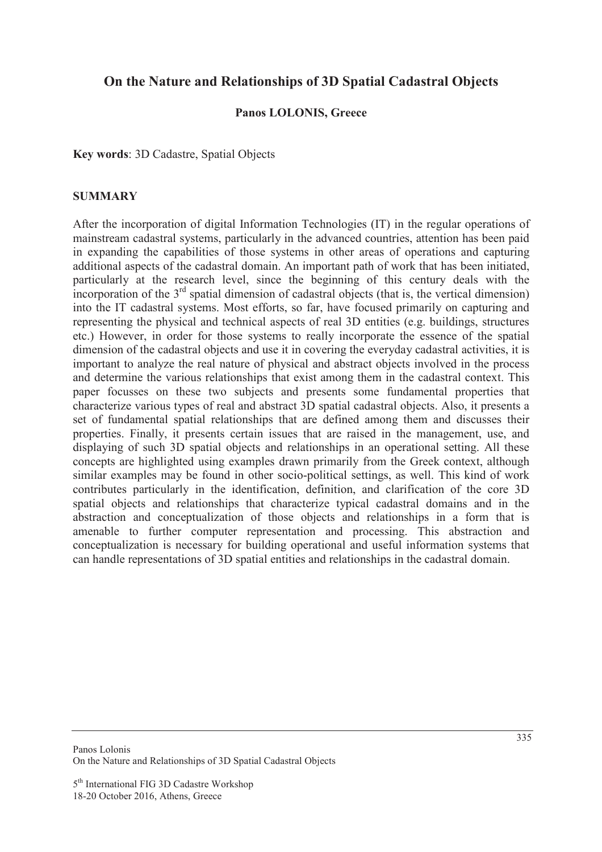# **On the Nature and Relationships of 3D Spatial Cadastral Objects**

### **Panos LOLONIS, Greece**

**Key words**: 3D Cadastre, Spatial Objects

#### **SUMMARY**

After the incorporation of digital Information Technologies (IT) in the regular operations of mainstream cadastral systems, particularly in the advanced countries, attention has been paid in expanding the capabilities of those systems in other areas of operations and capturing additional aspects of the cadastral domain. An important path of work that has been initiated, particularly at the research level, since the beginning of this century deals with the incorporation of the  $3<sup>rd</sup>$  spatial dimension of cadastral objects (that is, the vertical dimension) into the IT cadastral systems. Most efforts, so far, have focused primarily on capturing and representing the physical and technical aspects of real 3D entities (e.g. buildings, structures etc.) However, in order for those systems to really incorporate the essence of the spatial dimension of the cadastral objects and use it in covering the everyday cadastral activities, it is important to analyze the real nature of physical and abstract objects involved in the process and determine the various relationships that exist among them in the cadastral context. This paper focusses on these two subjects and presents some fundamental properties that characterize various types of real and abstract 3D spatial cadastral objects. Also, it presents a set of fundamental spatial relationships that are defined among them and discusses their properties. Finally, it presents certain issues that are raised in the management, use, and displaying of such 3D spatial objects and relationships in an operational setting. All these concepts are highlighted using examples drawn primarily from the Greek context, although similar examples may be found in other socio-political settings, as well. This kind of work contributes particularly in the identification, definition, and clarification of the core 3D spatial objects and relationships that characterize typical cadastral domains and in the abstraction and conceptualization of those objects and relationships in a form that is amenable to further computer representation and processing. This abstraction and conceptualization is necessary for building operational and useful information systems that can handle representations of 3D spatial entities and relationships in the cadastral domain.